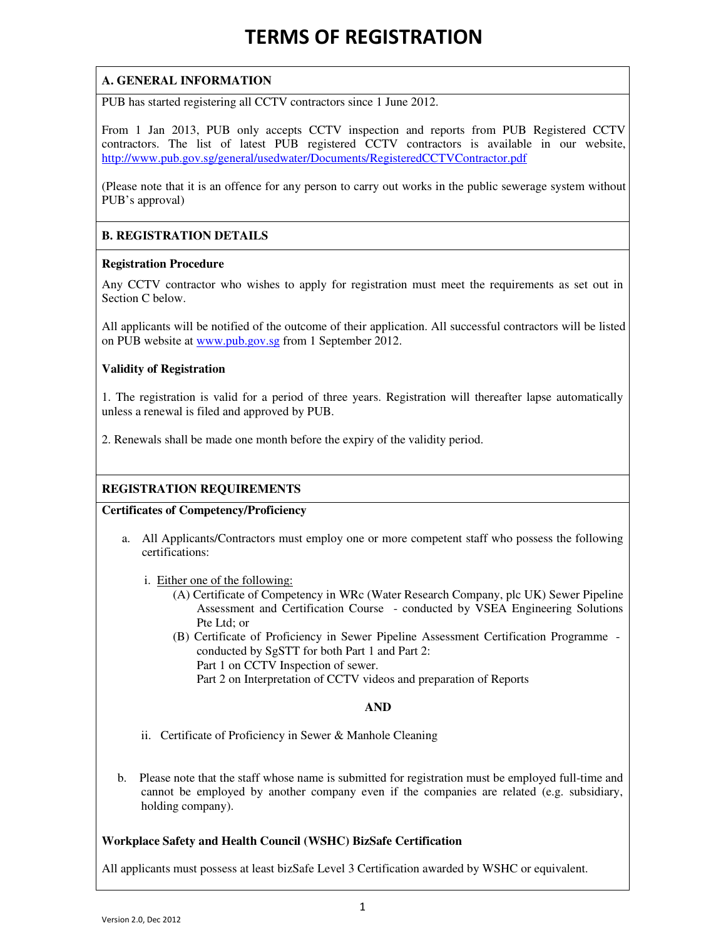# TERMS OF REGISTRATION

# **A. GENERAL INFORMATION**

PUB has started registering all CCTV contractors since 1 June 2012.

From 1 Jan 2013, PUB only accepts CCTV inspection and reports from PUB Registered CCTV contractors. The list of latest PUB registered CCTV contractors is available in our website, http://www.pub.gov.sg/general/usedwater/Documents/RegisteredCCTVContractor.pdf

(Please note that it is an offence for any person to carry out works in the public sewerage system without PUB's approval)

## **B. REGISTRATION DETAILS**

### **Registration Procedure**

Any CCTV contractor who wishes to apply for registration must meet the requirements as set out in Section C below.

All applicants will be notified of the outcome of their application. All successful contractors will be listed on PUB website at www.pub.gov.sg from 1 September 2012.

### **Validity of Registration**

1. The registration is valid for a period of three years. Registration will thereafter lapse automatically unless a renewal is filed and approved by PUB.

2. Renewals shall be made one month before the expiry of the validity period.

## **REGISTRATION REQUIREMENTS**

**Certificates of Competency/Proficiency** 

a. All Applicants/Contractors must employ one or more competent staff who possess the following certifications:

i. Either one of the following:

- (A) Certificate of Competency in WRc (Water Research Company, plc UK) Sewer Pipeline Assessment and Certification Course - conducted by VSEA Engineering Solutions Pte Ltd; or
- (B) Certificate of Proficiency in Sewer Pipeline Assessment Certification Programme conducted by SgSTT for both Part 1 and Part 2: Part 1 on CCTV Inspection of sewer.

Part 2 on Interpretation of CCTV videos and preparation of Reports

### **AND**

- ii. Certificate of Proficiency in Sewer & Manhole Cleaning
- b. Please note that the staff whose name is submitted for registration must be employed full-time and cannot be employed by another company even if the companies are related (e.g. subsidiary, holding company).

### **Workplace Safety and Health Council (WSHC) BizSafe Certification**

All applicants must possess at least bizSafe Level 3 Certification awarded by WSHC or equivalent.